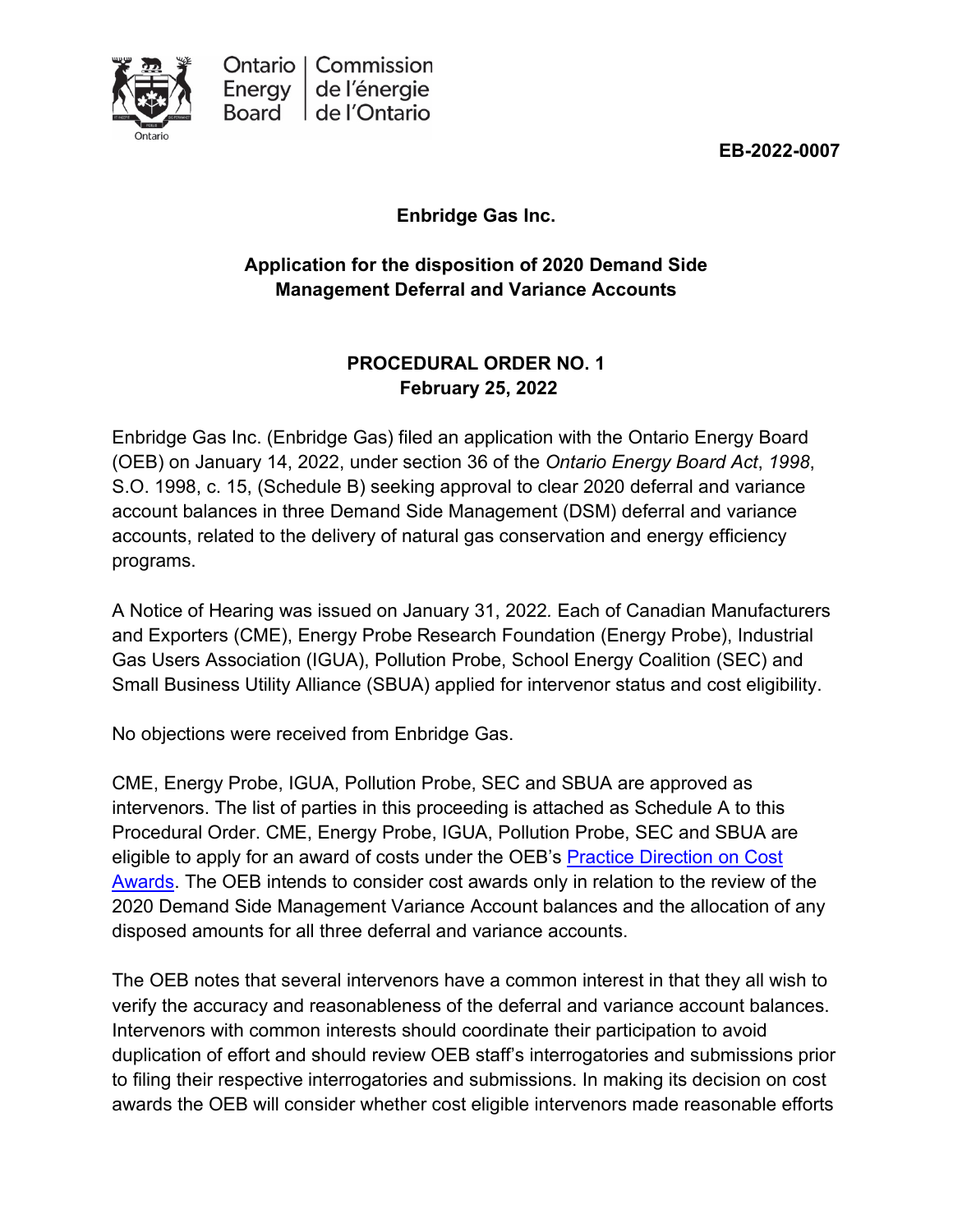

**EB-2022-0007**

**Enbridge Gas Inc.**

# **Application for the disposition of 2020 Demand Side Management Deferral and Variance Accounts**

# **PROCEDURAL ORDER NO. 1 February 25, 2022**

Enbridge Gas Inc. (Enbridge Gas) filed an application with the Ontario Energy Board (OEB) on January 14, 2022, under section 36 of the *Ontario Energy Board Act*, *1998*, S.O. 1998, c. 15, (Schedule B) seeking approval to clear 2020 deferral and variance account balances in three Demand Side Management (DSM) deferral and variance accounts, related to the delivery of natural gas conservation and energy efficiency programs.

A Notice of Hearing was issued on January 31, 2022*.* Each of Canadian Manufacturers and Exporters (CME), Energy Probe Research Foundation (Energy Probe), Industrial Gas Users Association (IGUA), Pollution Probe, School Energy Coalition (SEC) and Small Business Utility Alliance (SBUA) applied for intervenor status and cost eligibility.

No objections were received from Enbridge Gas.

CME, Energy Probe, IGUA, Pollution Probe, SEC and SBUA are approved as intervenors. The list of parties in this proceeding is attached as Schedule A to this Procedural Order. CME, Energy Probe, IGUA, Pollution Probe, SEC and SBUA are eligible to apply for an award of costs under the OEB's [Practice Direction on Cost](https://www.oeb.ca/industry/rules-codes-and-requirements/practice-direction-cost-awards)  [Awards.](https://www.oeb.ca/industry/rules-codes-and-requirements/practice-direction-cost-awards) The OEB intends to consider cost awards only in relation to the review of the 2020 Demand Side Management Variance Account balances and the allocation of any disposed amounts for all three deferral and variance accounts.

The OEB notes that several intervenors have a common interest in that they all wish to verify the accuracy and reasonableness of the deferral and variance account balances. Intervenors with common interests should coordinate their participation to avoid duplication of effort and should review OEB staff's interrogatories and submissions prior to filing their respective interrogatories and submissions. In making its decision on cost awards the OEB will consider whether cost eligible intervenors made reasonable efforts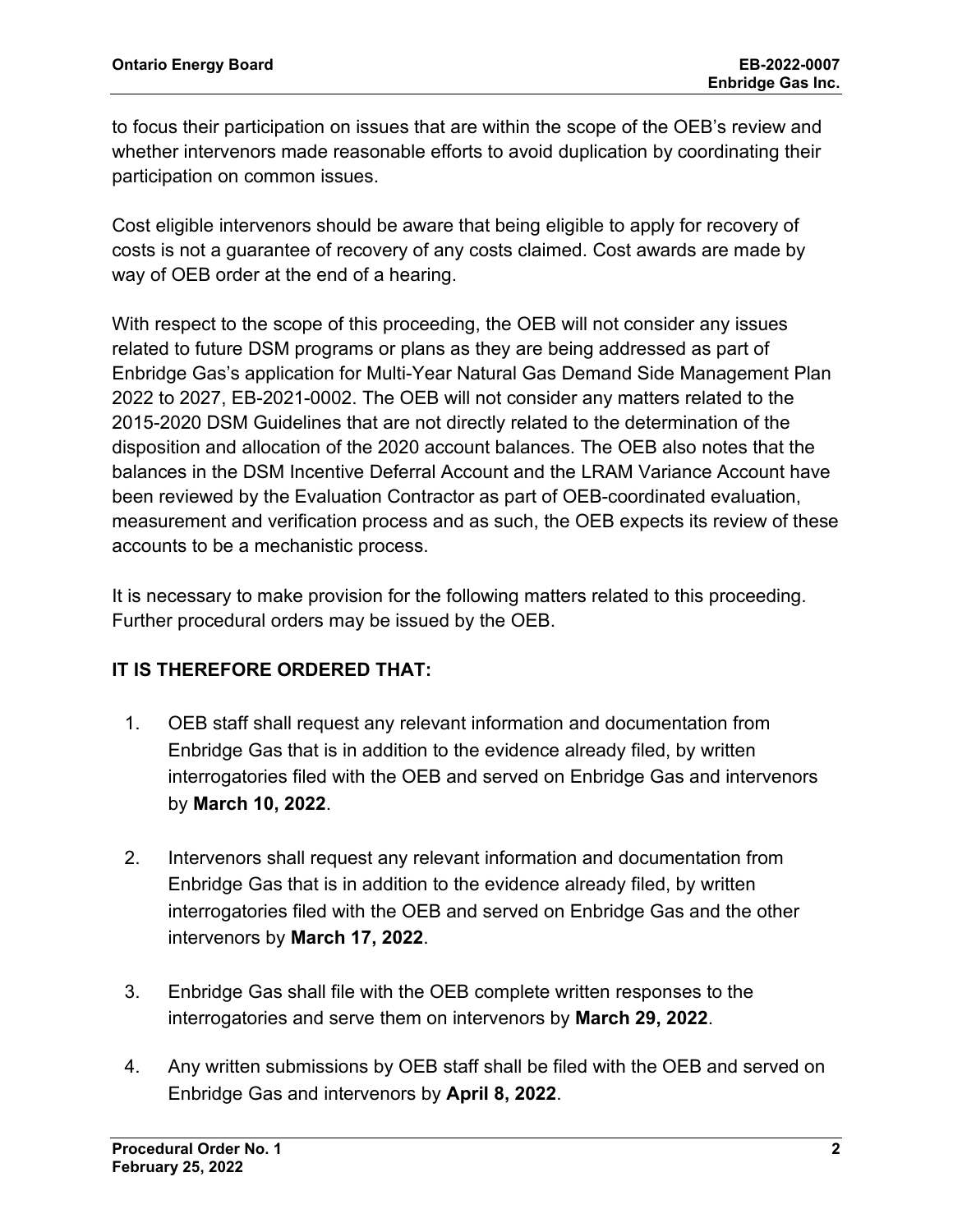to focus their participation on issues that are within the scope of the OEB's review and whether intervenors made reasonable efforts to avoid duplication by coordinating their participation on common issues.

Cost eligible intervenors should be aware that being eligible to apply for recovery of costs is not a guarantee of recovery of any costs claimed. Cost awards are made by way of OEB order at the end of a hearing.

With respect to the scope of this proceeding, the OEB will not consider any issues related to future DSM programs or plans as they are being addressed as part of Enbridge Gas's application for Multi-Year Natural Gas Demand Side Management Plan 2022 to 2027, EB-2021-0002. The OEB will not consider any matters related to the 2015-2020 DSM Guidelines that are not directly related to the determination of the disposition and allocation of the 2020 account balances. The OEB also notes that the balances in the DSM Incentive Deferral Account and the LRAM Variance Account have been reviewed by the Evaluation Contractor as part of OEB-coordinated evaluation, measurement and verification process and as such, the OEB expects its review of these accounts to be a mechanistic process.

It is necessary to make provision for the following matters related to this proceeding. Further procedural orders may be issued by the OEB.

# **IT IS THEREFORE ORDERED THAT:**

- 1. OEB staff shall request any relevant information and documentation from Enbridge Gas that is in addition to the evidence already filed, by written interrogatories filed with the OEB and served on Enbridge Gas and intervenors by **March 10, 2022**.
- 2. Intervenors shall request any relevant information and documentation from Enbridge Gas that is in addition to the evidence already filed, by written interrogatories filed with the OEB and served on Enbridge Gas and the other intervenors by **March 17, 2022**.
- 3. Enbridge Gas shall file with the OEB complete written responses to the interrogatories and serve them on intervenors by **March 29, 2022**.
- 4. Any written submissions by OEB staff shall be filed with the OEB and served on Enbridge Gas and intervenors by **April 8, 2022**.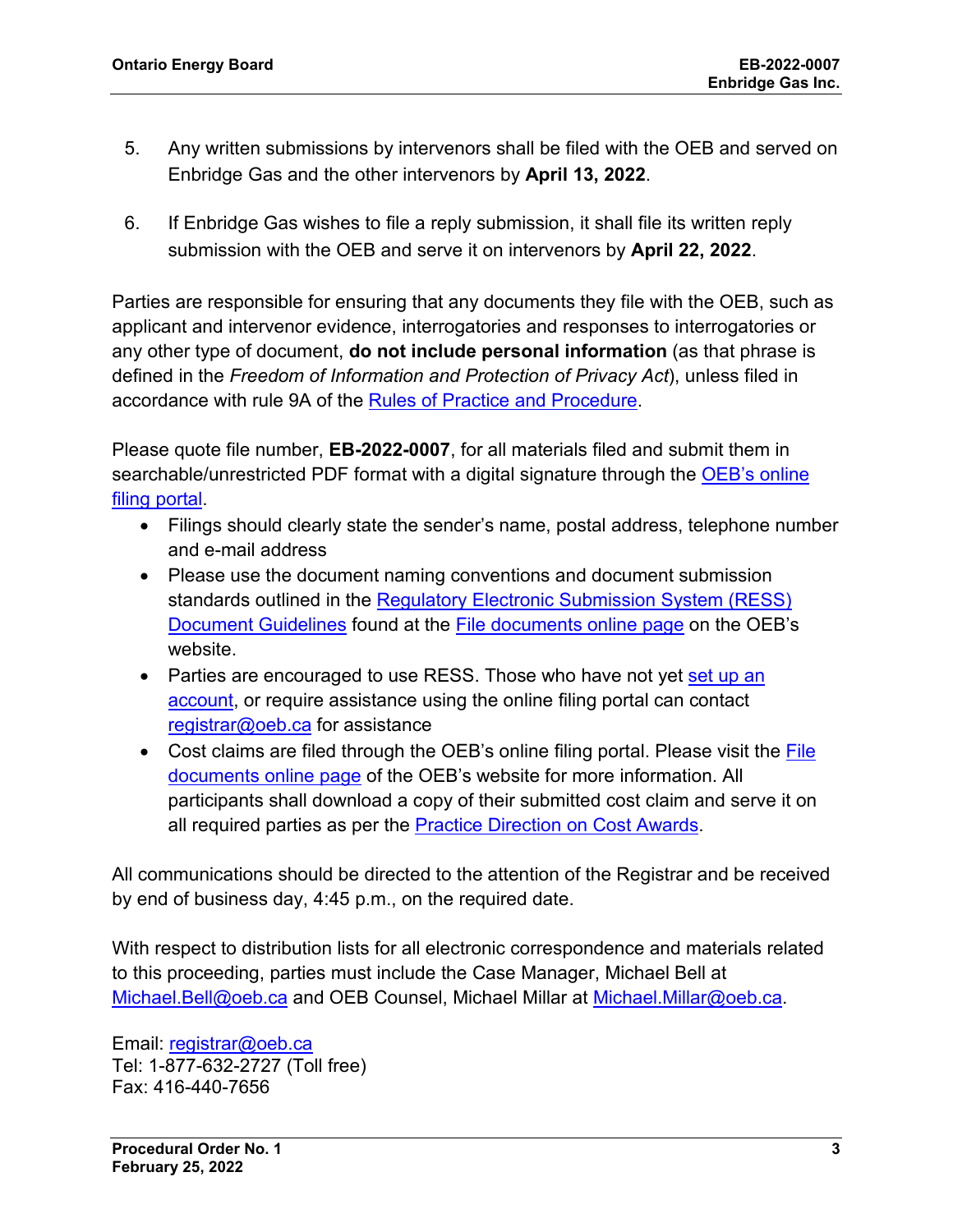- 5. Any written submissions by intervenors shall be filed with the OEB and served on Enbridge Gas and the other intervenors by **April 13, 2022**.
- 6. If Enbridge Gas wishes to file a reply submission, it shall file its written reply submission with the OEB and serve it on intervenors by **April 22, 2022**.

Parties are responsible for ensuring that any documents they file with the OEB, such as applicant and intervenor evidence, interrogatories and responses to interrogatories or any other type of document, **do not include personal information** (as that phrase is defined in the *Freedom of Information and Protection of Privacy Act*), unless filed in accordance with rule 9A of the [Rules of Practice and Procedure.](https://www.oeb.ca/industry/rules-codes-and-requirements/rules-practice-procedure)

Please quote file number, **EB-2022-0007**, for all materials filed and submit them in searchable/unrestricted PDF format with a digital signature through the OEB's online [filing portal.](https://p-pes.ontarioenergyboard.ca/PivotalUX/)

- Filings should clearly state the sender's name, postal address, telephone number and e-mail address
- Please use the document naming conventions and document submission standards outlined in the [Regulatory Electronic Submission System \(RESS\)](https://www.oeb.ca/sites/default/files/RESS-Document-Guidelines-202006.pdf)  [Document Guidelines](https://www.oeb.ca/sites/default/files/RESS-Document-Guidelines-202006.pdf) found at the [File documents online page](https://www.oeb.ca/regulatory-rules-and-documents/file-documents-online) on the OEB's website.
- Parties are encouraged to use RESS. Those who have not yet set up an [account,](https://www.oeb.ca/oeb/_Documents/e-Filing/Electronic_User_Form.pdf?v=20200331) or require assistance using the online filing portal can contact [registrar@oeb.ca](mailto:registrar@oeb.ca) for assistance
- Cost claims are filed through the OEB's online filing portal. Please visit the File [documents online page](https://www.oeb.ca/regulatory-rules-and-documents/file-documents-online) of the OEB's website for more information. All participants shall download a copy of their submitted cost claim and serve it on all required parties as per the [Practice Direction on Cost Awards.](https://www.oeb.ca/regulatory-rules-and-documents/rules-codes-and-requirements/practice-direction-cost-awards)

All communications should be directed to the attention of the Registrar and be received by end of business day, 4:45 p.m., on the required date.

With respect to distribution lists for all electronic correspondence and materials related to this proceeding, parties must include the Case Manager, Michael Bell at [Michael.Bell@oeb.ca](mailto:Michael.Bell@oeb.ca) and OEB Counsel, Michael Millar at [Michael.Millar@oeb.ca.](mailto:Michael.Millar@oeb.ca)

Email: [registrar@oeb.ca](mailto:registrar@oeb.ca) Tel: 1-877-632-2727 (Toll free) Fax: 416-440-7656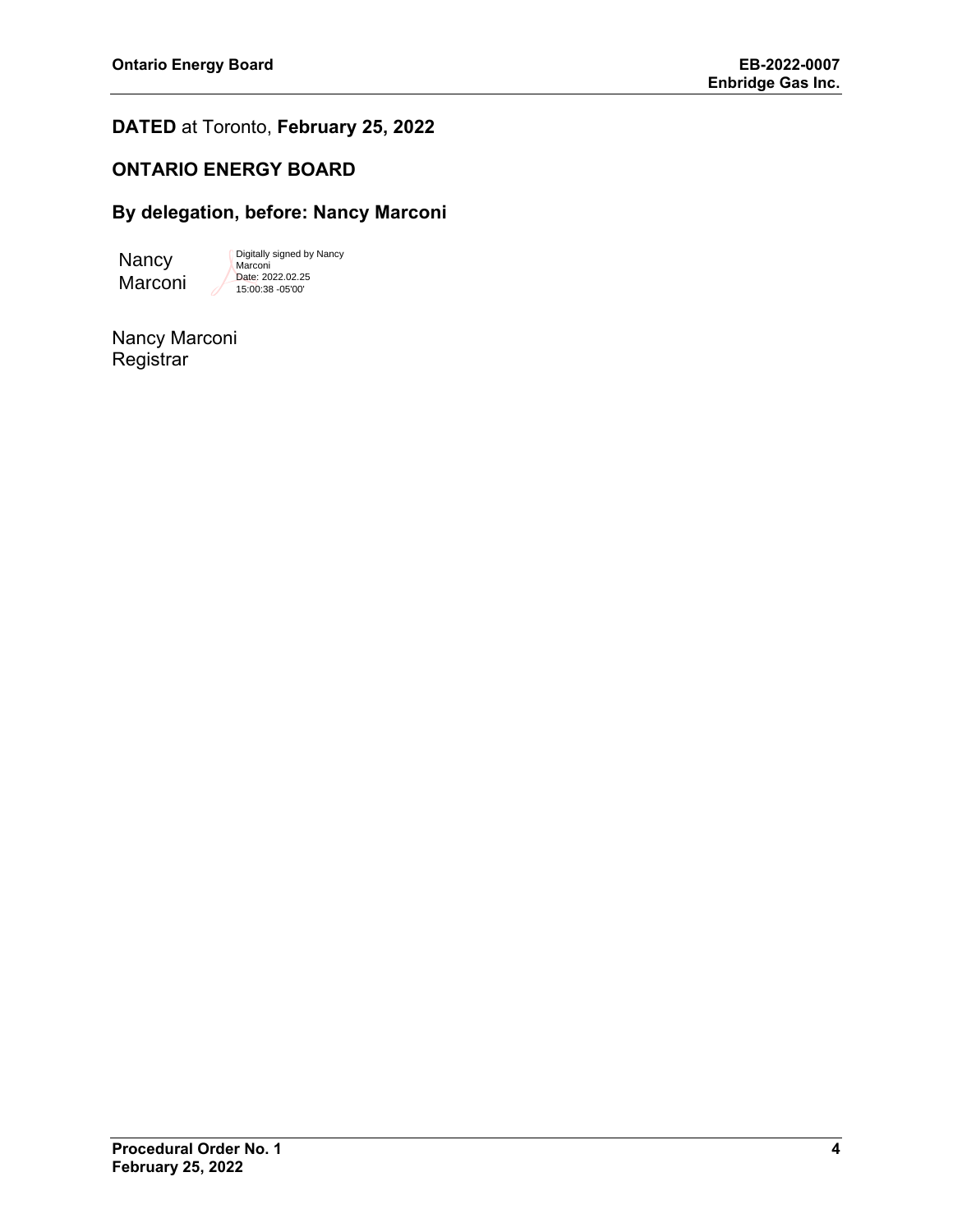# **DATED** at Toronto, **February 25, 2022**

# **ONTARIO ENERGY BOARD**

# **By delegation, before: Nancy Marconi**

**Nancy** Marconi

Digitally signed by Nancy Marconi Date: 2022.02.25 15:00:38 -05'00'

Nancy Marconi **Registrar**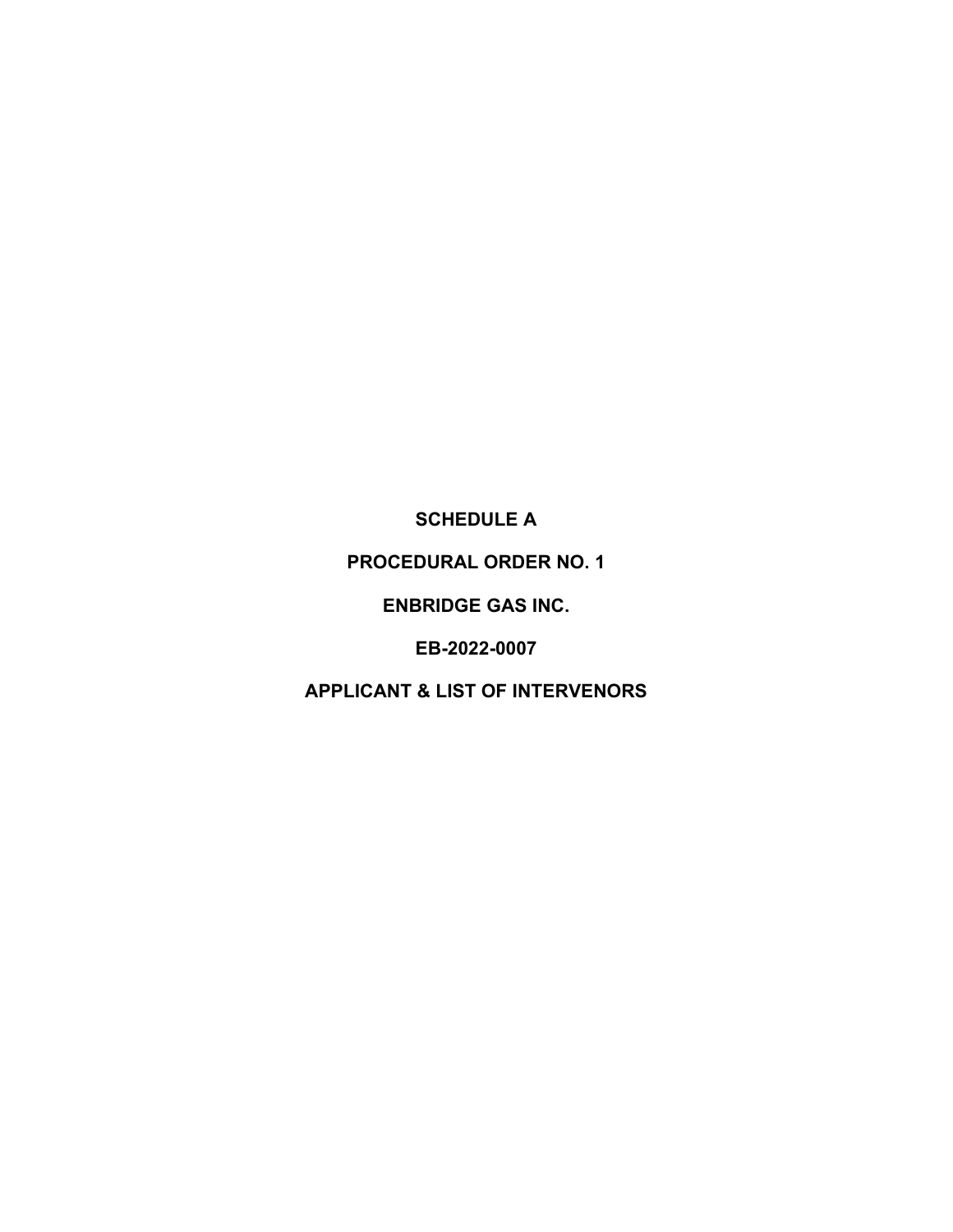**SCHEDULE A** 

**PROCEDURAL ORDER NO. 1** 

**ENBRIDGE GAS INC.**

**EB-2022-0007**

**APPLICANT & LIST OF INTERVENORS**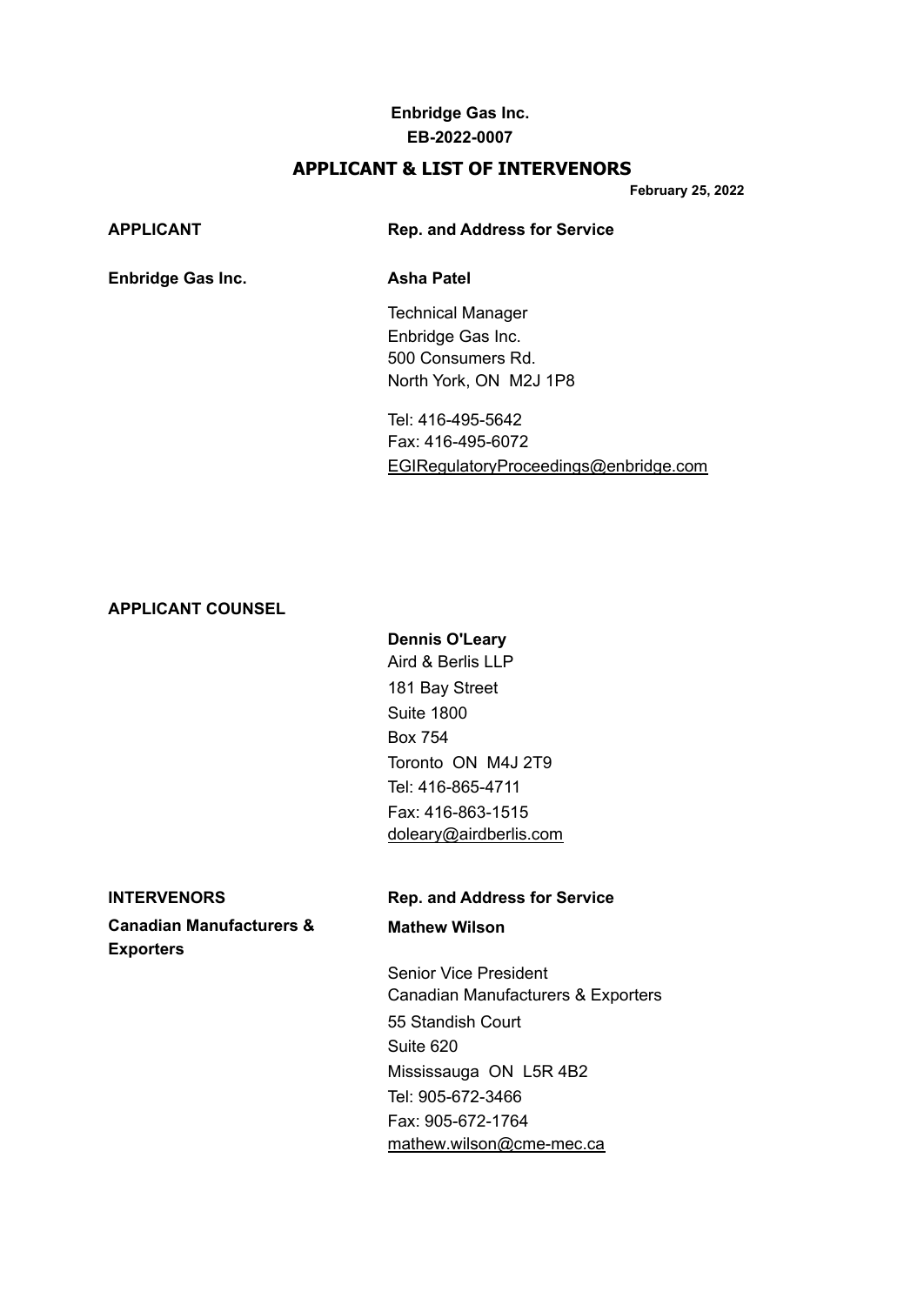### **APPLICANT & LIST OF INTERVENORS**

**February 25, 2022**

| APPLICANT                | <b>Rep. and Address for Service</b> |
|--------------------------|-------------------------------------|
| <b>Enbridge Gas Inc.</b> | Asha Patel                          |
|                          | <b>Technical Manager</b>            |
|                          | Enbridge Gas Inc.                   |
|                          | 500 Consumers Rd.                   |
|                          | North York, ON M2J 1P8              |
|                          |                                     |

Tel: 416-495-5642 Fax: 416-495-6072 [EGIRegulatoryProceedings@enbridge.com](mailto:EGIRegulatoryProceedings@enbridge.com)

#### **APPLICANT COUNSEL**

# **Dennis O'Leary** Aird & Berlis LLP 181 Bay Street Suite 1800 Box 754 Toronto ON M4J 2T9 Tel: 416-865-4711 Fax: 416-863-1515 [doleary@airdberlis.com](mailto:doleary@airdberlis.com)

**Canadian Manufacturers & Mathew Wilson Exporters**

# **INTERVENORS Rep. and Address for Service**

Senior Vice President Canadian Manufacturers & Exporters 55 Standish Court Suite 620 Mississauga ON L5R 4B2 Tel: 905-672-3466 Fax: 905-672-1764 [mathew.wilson@cme-mec.ca](mailto:mathew.wilson@cme-mec.ca)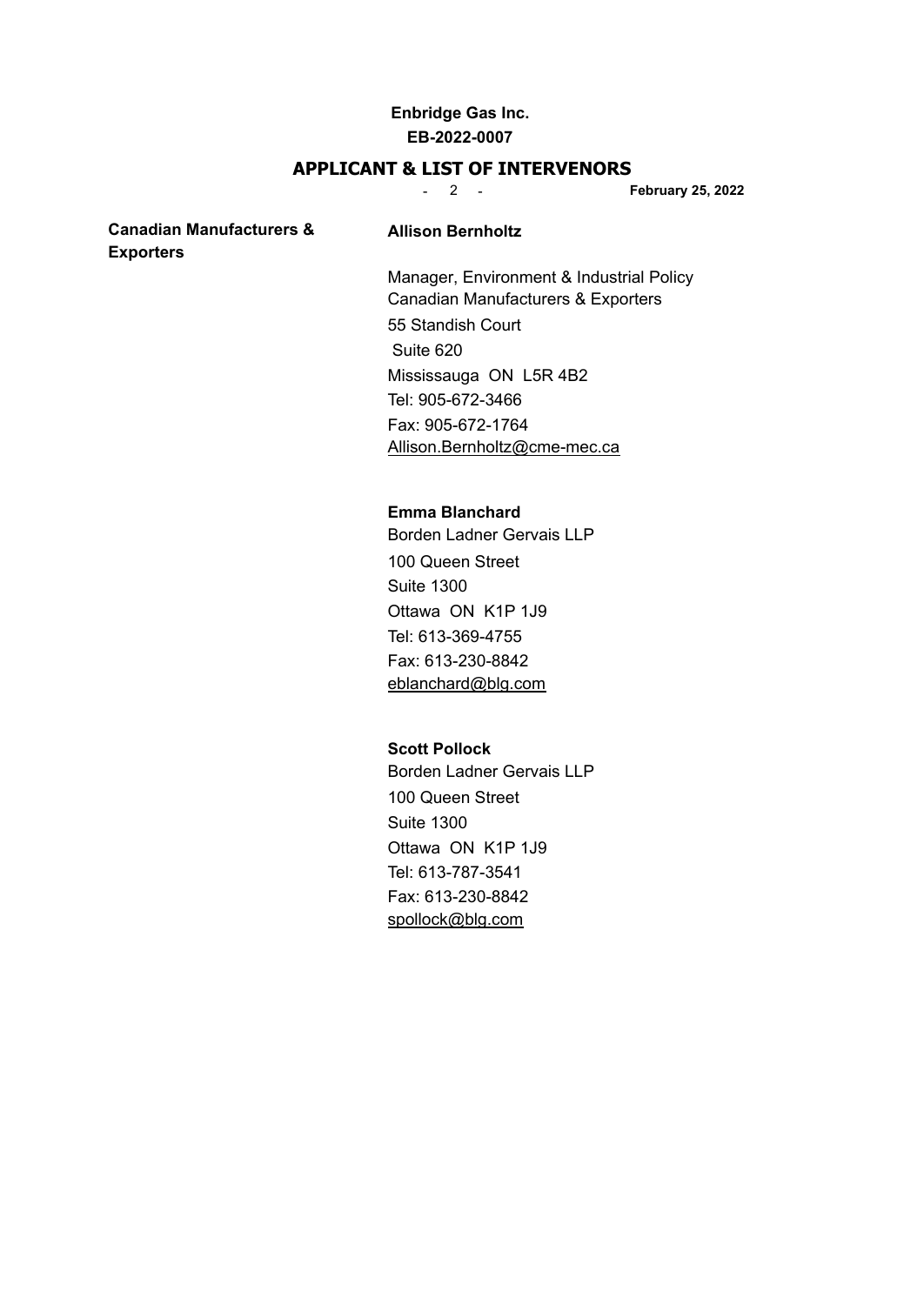### **APPLICANT & LIST OF INTERVENORS**

- 2 - **February 25, 2022**

### **Canadian Manufacturers & Allison Bernholtz Exporters**

Manager, Environment & Industrial Policy Canadian Manufacturers & Exporters

55 Standish Court Suite 620 Mississauga ON L5R 4B2 Tel: 905-672-3466 Fax: 905-672-1764 [Allison.Bernholtz@cme-mec.ca](mailto:Allison.Bernholtz@cme-mec.ca)

#### **Emma Blanchard**

Borden Ladner Gervais LLP 100 Queen Street Suite 1300 Ottawa ON K1P 1J9 Tel: 613-369-4755 Fax: 613-230-8842 [eblanchard@blg.com](mailto:eblanchard@blg.com)

#### **Scott Pollock**

Borden Ladner Gervais LLP 100 Queen Street Suite 1300 Ottawa ON K1P 1J9 Tel: 613-787-3541 Fax: 613-230-8842 [spollock@blg.com](mailto:spollock@blg.com)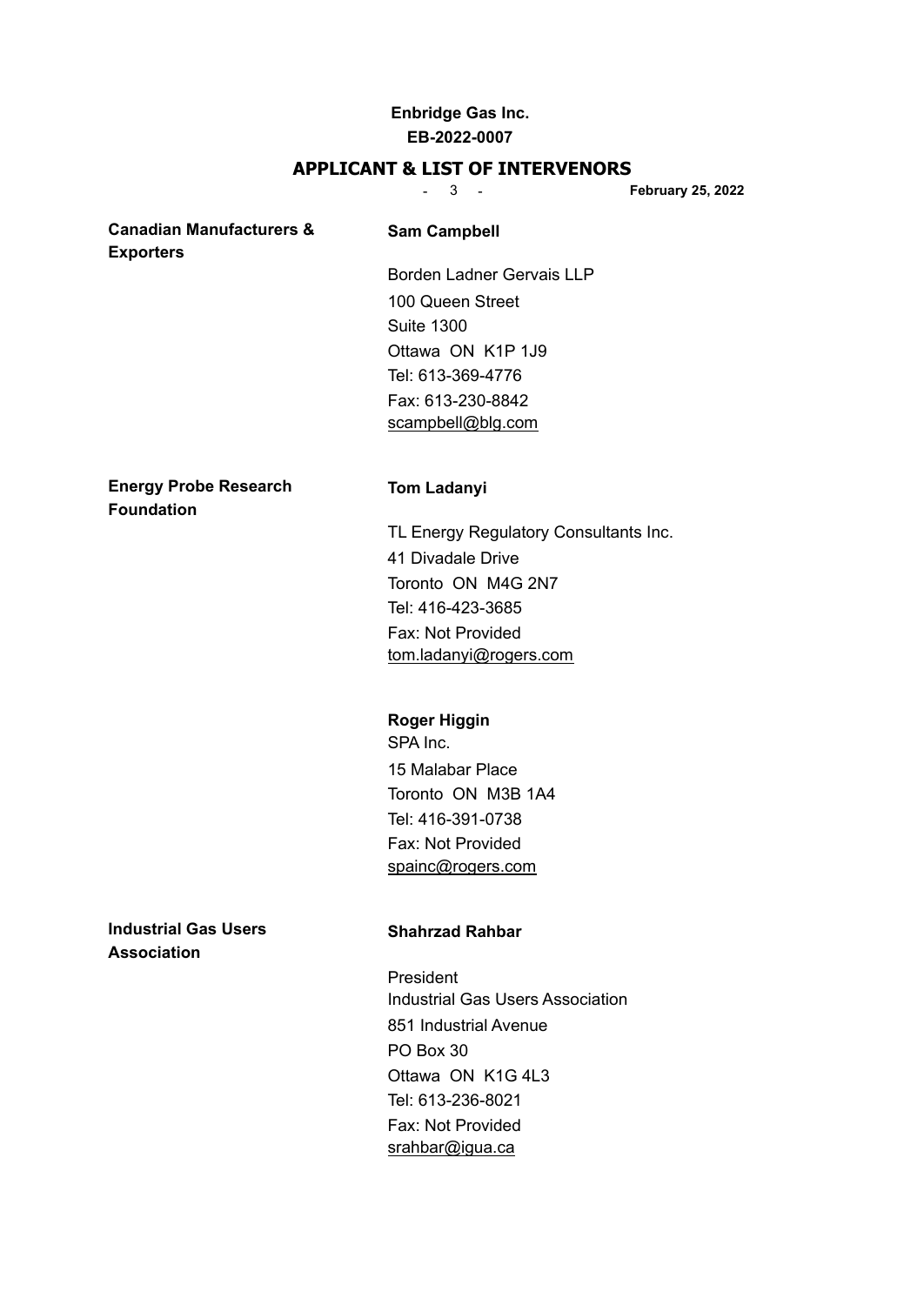#### **APPLICANT & LIST OF INTERVENORS**

- 3 - **February 25, 2022**

### **Canadian Manufacturers & Sam Campbell Exporters**

Borden Ladner Gervais LLP 100 Queen Street Suite 1300 Ottawa ON K1P 1J9 Tel: 613-369-4776 Fax: 613-230-8842 [scampbell@blg.com](mailto:scampbell@blg.com)

**Energy Probe Research Tom Ladanyi Foundation**

TL Energy Regulatory Consultants Inc. 41 Divadale Drive Toronto ON M4G 2N7 Tel: 416-423-3685 Fax: Not Provided [tom.ladanyi@rogers.com](mailto:tom.ladanyi@rogers.com)

#### **Roger Higgin**

SPA Inc. 15 Malabar Place Toronto ON M3B 1A4 Tel: 416-391-0738 Fax: Not Provided [spainc@rogers.com](mailto:spainc@rogers.com)

**Industrial Gas Users Shahrzad Rahbar Association**

President Industrial Gas Users Association 851 Industrial Avenue PO Box 30 Ottawa ON K1G 4L3 Tel: 613-236-8021 Fax: Not Provided [srahbar@igua.ca](mailto:srahbar@igua.ca)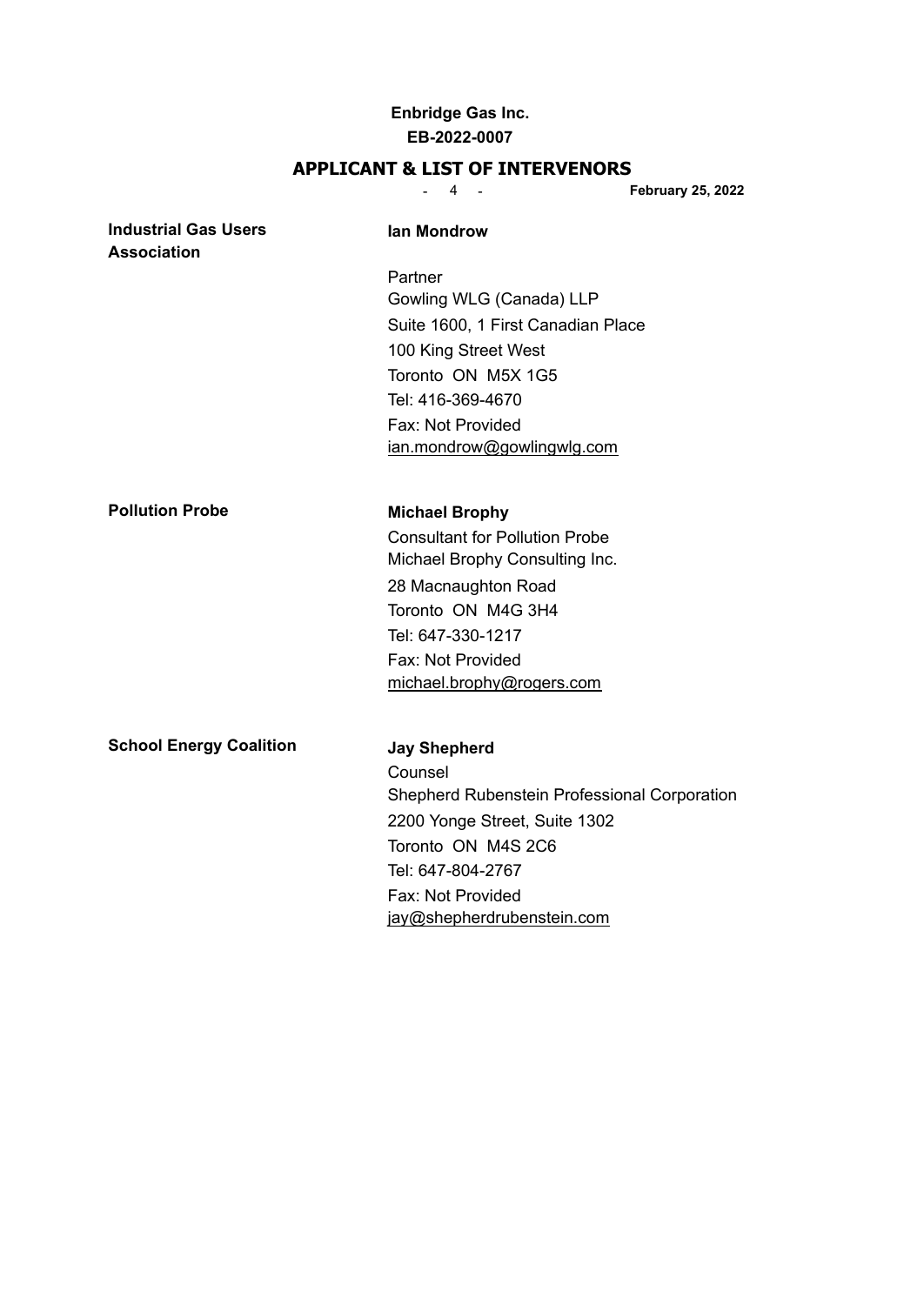#### **APPLICANT & LIST OF INTERVENORS**

- 4 - **February 25, 2022 Industrial Gas Users Industrial Gas Users Industrial Caster Industrial Caster Industrial Caster Association** Partner Gowling WLG (Canada) LLP Suite 1600, 1 First Canadian Place 100 King Street West Toronto ON M5X 1G5 Tel: 416-369-4670 Fax: Not Provided [ian.mondrow@gowlingwlg.com](mailto:ian.mondrow@gowlingwlg.com) **Pollution Probe Michael Brophy** Consultant for Pollution Probe Michael Brophy Consulting Inc. 28 Macnaughton Road Toronto ON M4G 3H4 Tel: 647-330-1217 Fax: Not Provided [michael.brophy@rogers.com](mailto:michael.brophy@rogers.com) **School Energy Coalition Jay Shepherd** Counsel Shepherd Rubenstein Professional Corporation

2200 Yonge Street, Suite 1302

[jay@shepherdrubenstein.com](mailto:jay@shepherdrubenstein.com)

Toronto ON M4S 2C6 Tel: 647-804-2767 Fax: Not Provided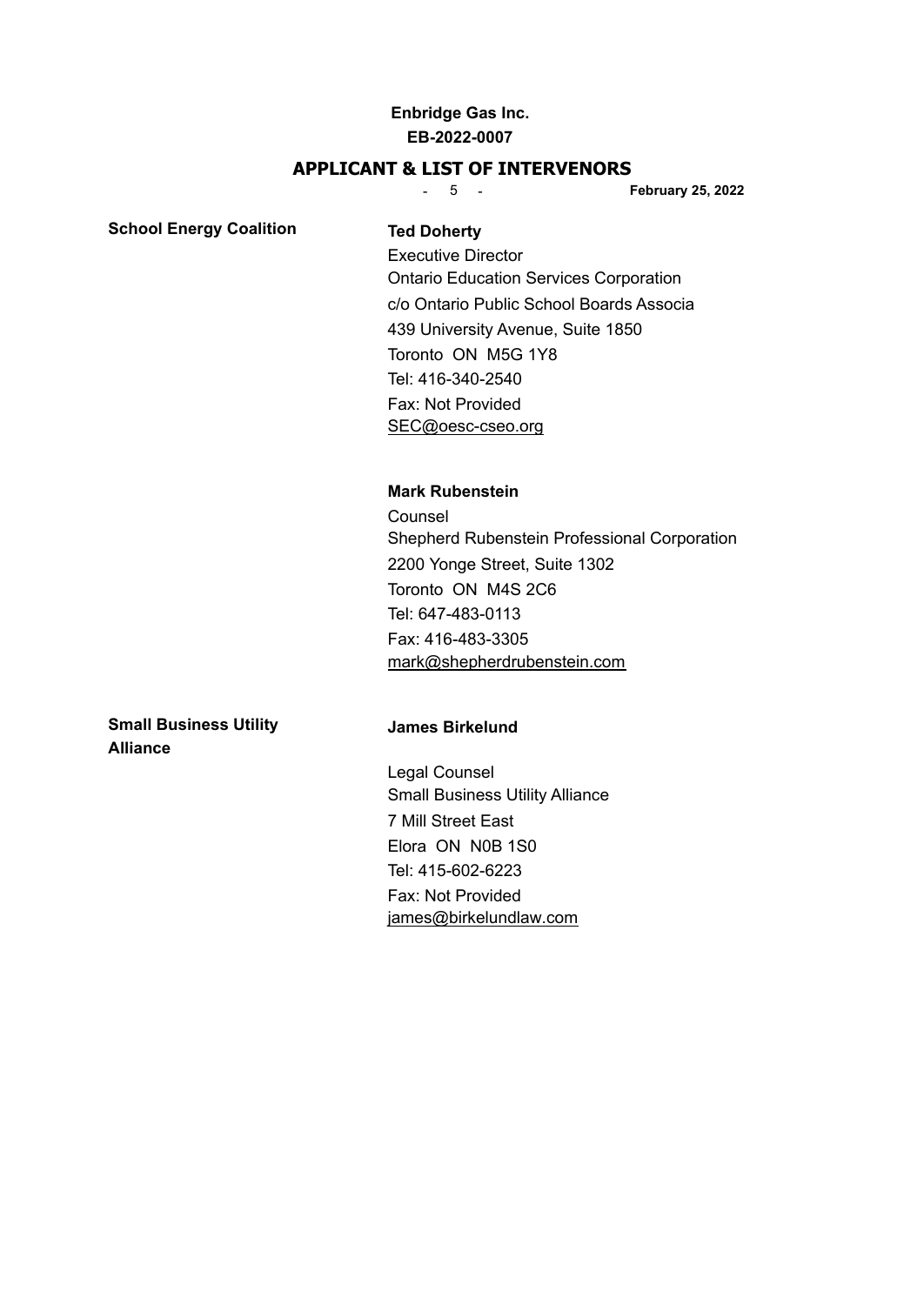#### **APPLICANT & LIST OF INTERVENORS**

- 5 - **February 25, 2022**

#### **School Energy Coalition Ted Doherty**

Executive Director Ontario Education Services Corporation c/o Ontario Public School Boards Associa 439 University Avenue, Suite 1850 Toronto ON M5G 1Y8 Tel: 416-340-2540 Fax: Not Provided [SEC@oesc-cseo.org](mailto:SEC@oesc-cseo.org)

#### **Mark Rubenstein**

**Counsel** Shepherd Rubenstein Professional Corporation 2200 Yonge Street, Suite 1302 Toronto ON M4S 2C6 Tel: 647-483-0113 Fax: 416-483-3305 [mark@shepherdrubenstein.com](mailto:mark@shepherdrubenstein.com)

**Small Business Utility James Birkelund Alliance**

Legal Counsel Small Business Utility Alliance 7 Mill Street East Elora ON N0B 1S0 Tel: 415-602-6223 Fax: Not Provided [james@birkelundlaw.com](mailto:james@birkelundlaw.com)